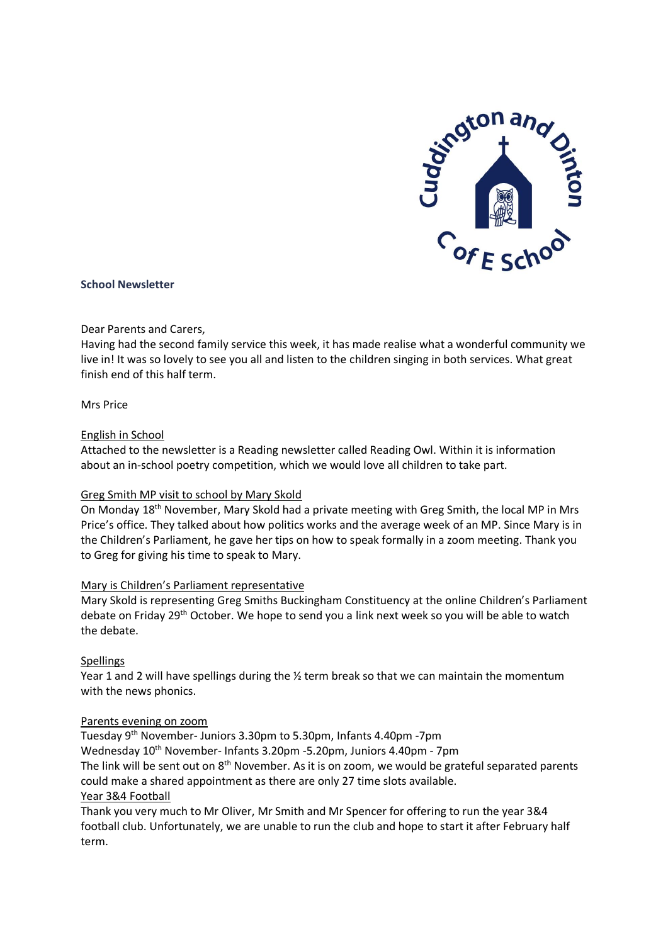

# **School Newsletter**

# Dear Parents and Carers,

Having had the second family service this week, it has made realise what a wonderful community we live in! It was so lovely to see you all and listen to the children singing in both services. What great finish end of this half term.

# Mrs Price

# English in School

Attached to the newsletter is a Reading newsletter called Reading Owl. Within it is information about an in-school poetry competition, which we would love all children to take part.

# Greg Smith MP visit to school by Mary Skold

On Monday 18th November, Mary Skold had a private meeting with Greg Smith, the local MP in Mrs Price's office. They talked about how politics works and the average week of an MP. Since Mary is in the Children's Parliament, he gave her tips on how to speak formally in a zoom meeting. Thank you to Greg for giving his time to speak to Mary.

### Mary is Children's Parliament representative

Mary Skold is representing Greg Smiths Buckingham Constituency at the online Children's Parliament debate on Friday 29th October. We hope to send you a link next week so you will be able to watch the debate.

# Spellings

Year 1 and 2 will have spellings during the  $\frac{1}{2}$  term break so that we can maintain the momentum with the news phonics.

### Parents evening on zoom

Tuesday 9<sup>th</sup> November- Juniors 3.30pm to 5.30pm, Infants 4.40pm -7pm Wednesday 10<sup>th</sup> November- Infants 3.20pm -5.20pm, Juniors 4.40pm - 7pm The link will be sent out on 8<sup>th</sup> November. As it is on zoom, we would be grateful separated parents could make a shared appointment as there are only 27 time slots available. Year 3&4 Football

Thank you very much to Mr Oliver, Mr Smith and Mr Spencer for offering to run the year 3&4 football club. Unfortunately, we are unable to run the club and hope to start it after February half term.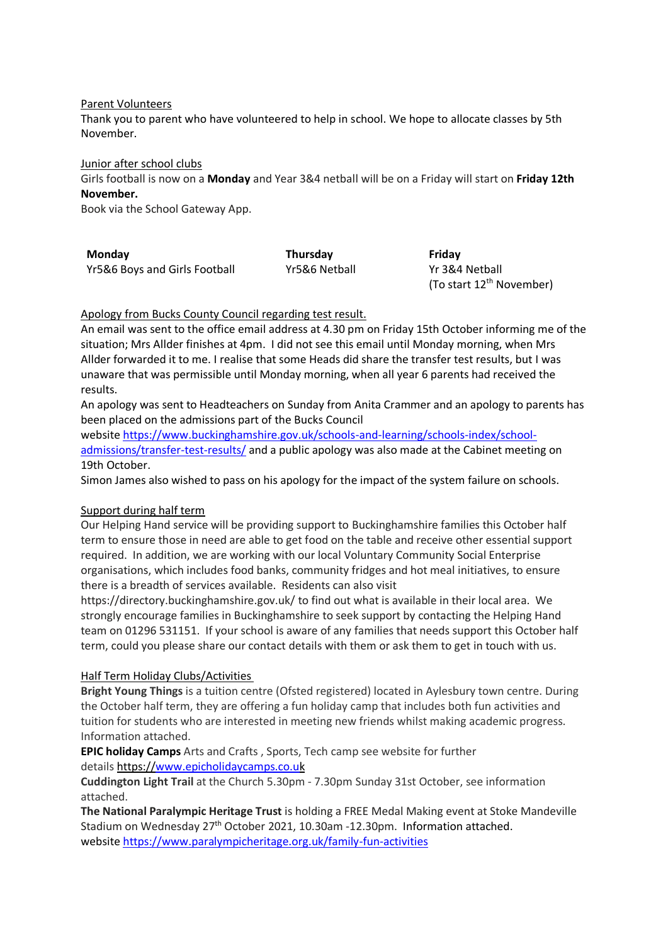Parent Volunteers

Thank you to parent who have volunteered to help in school. We hope to allocate classes by 5th November.

Junior after school clubs

Girls football is now on a **Monday** and Year 3&4 netball will be on a Friday will start on **Friday 12th November.**

Book via the School Gateway App.

| Monday                        | <b>Thursday</b> | Friday         |
|-------------------------------|-----------------|----------------|
| Yr5&6 Boys and Girls Football | Yr5&6 Netball   | Yr 3&4 Netball |
|                               |                 |                |

(To start 12<sup>th</sup> November)

# Apology from Bucks County Council regarding test result.

An email was sent to the office email address at 4.30 pm on Friday 15th October informing me of the situation; Mrs Allder finishes at 4pm. I did not see this email until Monday morning, when Mrs Allder forwarded it to me. I realise that some Heads did share the transfer test results, but I was unaware that was permissible until Monday morning, when all year 6 parents had received the results.

An apology was sent to Headteachers on Sunday from Anita Crammer and an apology to parents has been placed on the admissions part of the Bucks Council

website [https://www.buckinghamshire.gov.uk/schools-and-learning/schools-index/school](https://eur03.safelinks.protection.outlook.com/?url=https%3A%2F%2Fwww.buckinghamshire.gov.uk%2Fschools-and-learning%2Fschools-index%2Fschool-admissions%2Ftransfer-test-results%2F&data=04%7C01%7Chazel.david%40buckinghamshire.gov.uk%7C76ed4a6d66a04a95414708d993977d6d%7C7fb976b99e2848e180861ddabecf82a0%7C0%7C0%7C637703101115462976%7CUnknown%7CTWFpbGZsb3d8eyJWIjoiMC4wLjAwMDAiLCJQIjoiV2luMzIiLCJBTiI6Ik1haWwiLCJXVCI6Mn0%3D%7C1000&sdata=Y3RYYjhgUgQJ0k6oGnW8h0SIr9JI6%2FjHG90Zzfo91gU%3D&reserved=0)[admissions/transfer-test-results/](https://eur03.safelinks.protection.outlook.com/?url=https%3A%2F%2Fwww.buckinghamshire.gov.uk%2Fschools-and-learning%2Fschools-index%2Fschool-admissions%2Ftransfer-test-results%2F&data=04%7C01%7Chazel.david%40buckinghamshire.gov.uk%7C76ed4a6d66a04a95414708d993977d6d%7C7fb976b99e2848e180861ddabecf82a0%7C0%7C0%7C637703101115462976%7CUnknown%7CTWFpbGZsb3d8eyJWIjoiMC4wLjAwMDAiLCJQIjoiV2luMzIiLCJBTiI6Ik1haWwiLCJXVCI6Mn0%3D%7C1000&sdata=Y3RYYjhgUgQJ0k6oGnW8h0SIr9JI6%2FjHG90Zzfo91gU%3D&reserved=0) and a public apology was also made at the Cabinet meeting on 19th October.

Simon James also wished to pass on his apology for the impact of the system failure on schools.

# Support during half term

Our Helping Hand service will be providing support to Buckinghamshire families this October half term to ensure those in need are able to get food on the table and receive other essential support required. In addition, we are working with our local Voluntary Community Social Enterprise organisations, which includes food banks, community fridges and hot meal initiatives, to ensure there is a breadth of services available. Residents can also visit

https://directory.buckinghamshire.gov.uk/ to find out what is available in their local area. We strongly encourage families in Buckinghamshire to seek support by contacting the Helping Hand team on 01296 531151. If your school is aware of any families that needs support this October half term, could you please share our contact details with them or ask them to get in touch with us.

# Half Term Holiday Clubs/Activities

**Bright Young Things** is a tuition centre (Ofsted registered) located in Aylesbury town centre. During the October half term, they are offering a fun holiday camp that includes both fun activities and tuition for students who are interested in meeting new friends whilst making academic progress. Information attached.

**EPIC holiday Camps** Arts and Crafts , Sports, Tech camp see website for further details https:/[/www.epicholidaycamps.co.uk](https://www.epicholidaycamps.co.uk/)

**Cuddington Light Trail** at the Church 5.30pm - 7.30pm Sunday 31st October, see information attached.

**The National Paralympic Heritage Trust** is holding a FREE Medal Making event at Stoke Mandeville Stadium on Wednesday 27<sup>th</sup> October 2021, 10.30am -12.30pm. Information attached. website <https://www.paralympicheritage.org.uk/family-fun-activities>